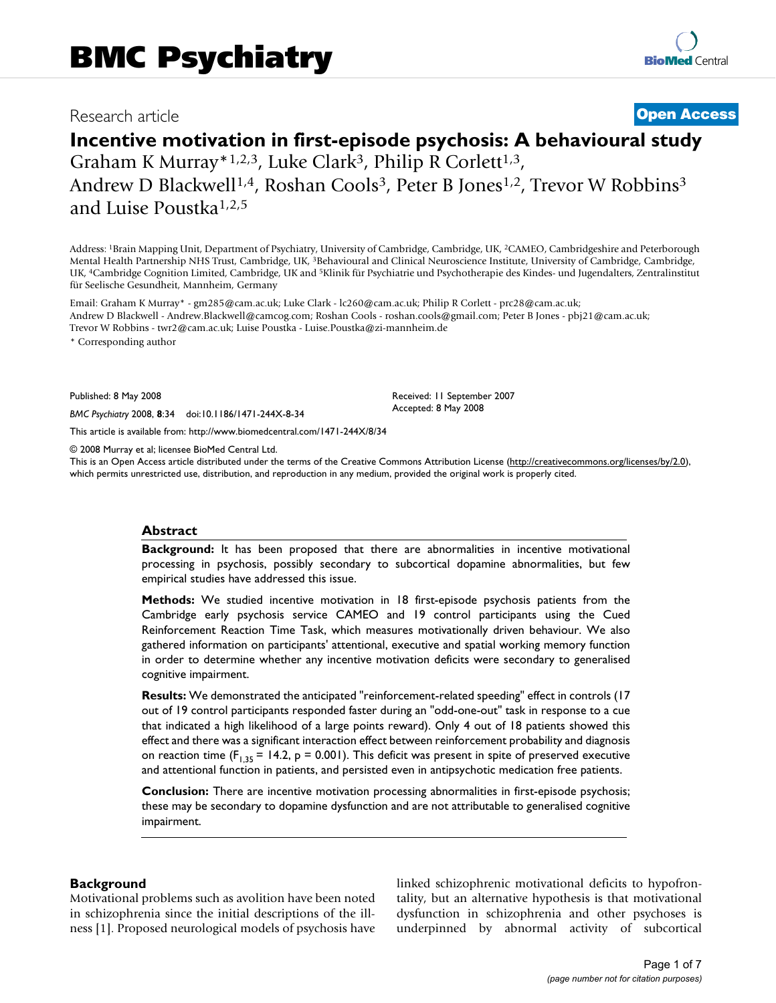## Research article **[Open Access](http://www.biomedcentral.com/info/about/charter/)**

# **Incentive motivation in first-episode psychosis: A behavioural study**

Graham K Murray\*1,2,3, Luke Clark<sup>3</sup>, Philip R Corlett<sup>1,3</sup>, Andrew D Blackwell<sup>1,4</sup>, Roshan Cools<sup>3</sup>, Peter B Jones<sup>1,2</sup>, Trevor W Robbins<sup>3</sup> and Luise Poustka1,2,5

Address: 1Brain Mapping Unit, Department of Psychiatry, University of Cambridge, Cambridge, UK, 2CAMEO, Cambridgeshire and Peterborough Mental Health Partnership NHS Trust, Cambridge, UK, 3Behavioural and Clinical Neuroscience Institute, University of Cambridge, Cambridge, UK, 4Cambridge Cognition Limited, Cambridge, UK and 5Klinik für Psychiatrie und Psychotherapie des Kindes- und Jugendalters, Zentralinstitut für Seelische Gesundheit, Mannheim, Germany

Email: Graham K Murray\* - gm285@cam.ac.uk; Luke Clark - lc260@cam.ac.uk; Philip R Corlett - prc28@cam.ac.uk; Andrew D Blackwell - Andrew.Blackwell@camcog.com; Roshan Cools - roshan.cools@gmail.com; Peter B Jones - pbj21@cam.ac.uk; Trevor W Robbins - twr2@cam.ac.uk; Luise Poustka - Luise.Poustka@zi-mannheim.de

\* Corresponding author

Published: 8 May 2008

*BMC Psychiatry* 2008, **8**:34 doi:10.1186/1471-244X-8-34

[This article is available from: http://www.biomedcentral.com/1471-244X/8/34](http://www.biomedcentral.com/1471-244X/8/34)

© 2008 Murray et al; licensee BioMed Central Ltd.

This is an Open Access article distributed under the terms of the Creative Commons Attribution License [\(http://creativecommons.org/licenses/by/2.0\)](http://creativecommons.org/licenses/by/2.0), which permits unrestricted use, distribution, and reproduction in any medium, provided the original work is properly cited.

Received: 11 September 2007 Accepted: 8 May 2008

#### **Abstract**

**Background:** It has been proposed that there are abnormalities in incentive motivational processing in psychosis, possibly secondary to subcortical dopamine abnormalities, but few empirical studies have addressed this issue.

**Methods:** We studied incentive motivation in 18 first-episode psychosis patients from the Cambridge early psychosis service CAMEO and 19 control participants using the Cued Reinforcement Reaction Time Task, which measures motivationally driven behaviour. We also gathered information on participants' attentional, executive and spatial working memory function in order to determine whether any incentive motivation deficits were secondary to generalised cognitive impairment.

**Results:** We demonstrated the anticipated "reinforcement-related speeding" effect in controls (17 out of 19 control participants responded faster during an "odd-one-out" task in response to a cue that indicated a high likelihood of a large points reward). Only 4 out of 18 patients showed this effect and there was a significant interaction effect between reinforcement probability and diagnosis on reaction time ( $F_{1,35}$  = 14.2, p = 0.001). This deficit was present in spite of preserved executive and attentional function in patients, and persisted even in antipsychotic medication free patients.

**Conclusion:** There are incentive motivation processing abnormalities in first-episode psychosis; these may be secondary to dopamine dysfunction and are not attributable to generalised cognitive impairment.

#### **Background**

Motivational problems such as avolition have been noted in schizophrenia since the initial descriptions of the illness [1]. Proposed neurological models of psychosis have linked schizophrenic motivational deficits to hypofrontality, but an alternative hypothesis is that motivational dysfunction in schizophrenia and other psychoses is underpinned by abnormal activity of subcortical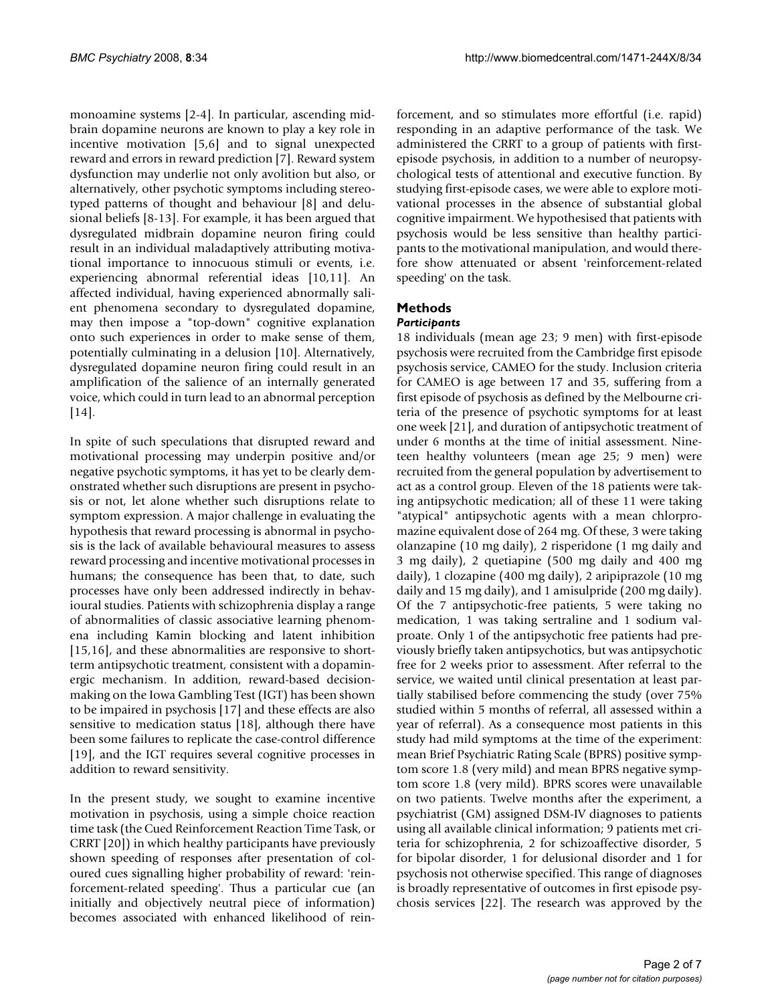monoamine systems [2-4]. In particular, ascending midbrain dopamine neurons are known to play a key role in incentive motivation [5,6] and to signal unexpected reward and errors in reward prediction [7]. Reward system dysfunction may underlie not only avolition but also, or alternatively, other psychotic symptoms including stereotyped patterns of thought and behaviour [8] and delusional beliefs [8-13]. For example, it has been argued that dysregulated midbrain dopamine neuron firing could result in an individual maladaptively attributing motivational importance to innocuous stimuli or events, i.e. experiencing abnormal referential ideas [10,11]. An affected individual, having experienced abnormally salient phenomena secondary to dysregulated dopamine, may then impose a "top-down" cognitive explanation onto such experiences in order to make sense of them, potentially culminating in a delusion [10]. Alternatively, dysregulated dopamine neuron firing could result in an amplification of the salience of an internally generated voice, which could in turn lead to an abnormal perception [14].

In spite of such speculations that disrupted reward and motivational processing may underpin positive and/or negative psychotic symptoms, it has yet to be clearly demonstrated whether such disruptions are present in psychosis or not, let alone whether such disruptions relate to symptom expression. A major challenge in evaluating the hypothesis that reward processing is abnormal in psychosis is the lack of available behavioural measures to assess reward processing and incentive motivational processes in humans; the consequence has been that, to date, such processes have only been addressed indirectly in behavioural studies. Patients with schizophrenia display a range of abnormalities of classic associative learning phenomena including Kamin blocking and latent inhibition [15,16], and these abnormalities are responsive to shortterm antipsychotic treatment, consistent with a dopaminergic mechanism. In addition, reward-based decisionmaking on the Iowa Gambling Test (IGT) has been shown to be impaired in psychosis [17] and these effects are also sensitive to medication status [18], although there have been some failures to replicate the case-control difference [19], and the IGT requires several cognitive processes in addition to reward sensitivity.

In the present study, we sought to examine incentive motivation in psychosis, using a simple choice reaction time task (the Cued Reinforcement Reaction Time Task, or CRRT [20]) in which healthy participants have previously shown speeding of responses after presentation of coloured cues signalling higher probability of reward: 'reinforcement-related speeding'. Thus a particular cue (an initially and objectively neutral piece of information) becomes associated with enhanced likelihood of reinforcement, and so stimulates more effortful (i.e. rapid) responding in an adaptive performance of the task. We administered the CRRT to a group of patients with firstepisode psychosis, in addition to a number of neuropsychological tests of attentional and executive function. By studying first-episode cases, we were able to explore motivational processes in the absence of substantial global cognitive impairment. We hypothesised that patients with psychosis would be less sensitive than healthy participants to the motivational manipulation, and would therefore show attenuated or absent 'reinforcement-related speeding' on the task.

### **Methods**

#### *Participants*

18 individuals (mean age 23; 9 men) with first-episode psychosis were recruited from the Cambridge first episode psychosis service, CAMEO for the study. Inclusion criteria for CAMEO is age between 17 and 35, suffering from a first episode of psychosis as defined by the Melbourne criteria of the presence of psychotic symptoms for at least one week [21], and duration of antipsychotic treatment of under 6 months at the time of initial assessment. Nineteen healthy volunteers (mean age 25; 9 men) were recruited from the general population by advertisement to act as a control group. Eleven of the 18 patients were taking antipsychotic medication; all of these 11 were taking "atypical" antipsychotic agents with a mean chlorpromazine equivalent dose of 264 mg. Of these, 3 were taking olanzapine (10 mg daily), 2 risperidone (1 mg daily and 3 mg daily), 2 quetiapine (500 mg daily and 400 mg daily), 1 clozapine (400 mg daily), 2 aripiprazole (10 mg daily and 15 mg daily), and 1 amisulpride (200 mg daily). Of the 7 antipsychotic-free patients, 5 were taking no medication, 1 was taking sertraline and 1 sodium valproate. Only 1 of the antipsychotic free patients had previously briefly taken antipsychotics, but was antipsychotic free for 2 weeks prior to assessment. After referral to the service, we waited until clinical presentation at least partially stabilised before commencing the study (over 75% studied within 5 months of referral, all assessed within a year of referral). As a consequence most patients in this study had mild symptoms at the time of the experiment: mean Brief Psychiatric Rating Scale (BPRS) positive symptom score 1.8 (very mild) and mean BPRS negative symptom score 1.8 (very mild). BPRS scores were unavailable on two patients. Twelve months after the experiment, a psychiatrist (GM) assigned DSM-IV diagnoses to patients using all available clinical information; 9 patients met criteria for schizophrenia, 2 for schizoaffective disorder, 5 for bipolar disorder, 1 for delusional disorder and 1 for psychosis not otherwise specified. This range of diagnoses is broadly representative of outcomes in first episode psychosis services [22]. The research was approved by the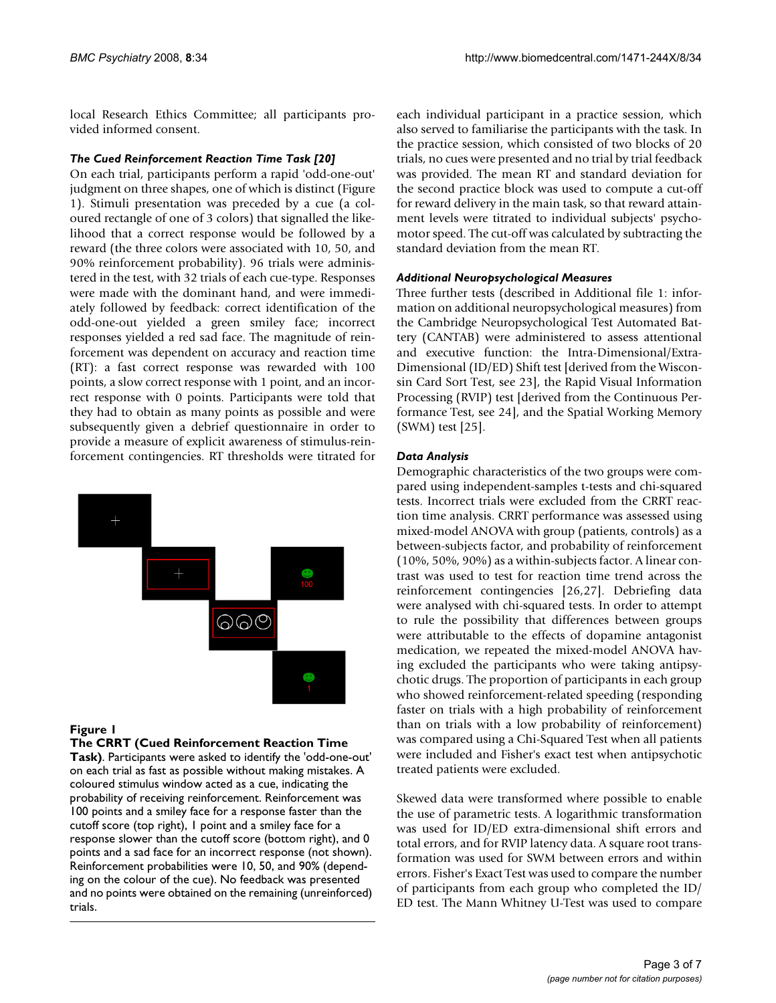local Research Ethics Committee; all participants provided informed consent.

#### *The Cued Reinforcement Reaction Time Task [20]*

On each trial, participants perform a rapid 'odd-one-out' judgment on three shapes, one of which is distinct (Figure 1). Stimuli presentation was preceded by a cue (a coloured rectangle of one of 3 colors) that signalled the likelihood that a correct response would be followed by a reward (the three colors were associated with 10, 50, and 90% reinforcement probability). 96 trials were administered in the test, with 32 trials of each cue-type. Responses were made with the dominant hand, and were immediately followed by feedback: correct identification of the odd-one-out yielded a green smiley face; incorrect responses yielded a red sad face. The magnitude of reinforcement was dependent on accuracy and reaction time (RT): a fast correct response was rewarded with 100 points, a slow correct response with 1 point, and an incorrect response with 0 points. Participants were told that they had to obtain as many points as possible and were subsequently given a debrief questionnaire in order to provide a measure of explicit awareness of stimulus-reinforcement contingencies. RT thresholds were titrated for



#### Figure 1

**The CRRT (Cued Reinforcement Reaction Time** 

**Task)**. Participants were asked to identify the 'odd-one-out' on each trial as fast as possible without making mistakes. A coloured stimulus window acted as a cue, indicating the probability of receiving reinforcement. Reinforcement was 100 points and a smiley face for a response faster than the cutoff score (top right), 1 point and a smiley face for a response slower than the cutoff score (bottom right), and 0 points and a sad face for an incorrect response (not shown). Reinforcement probabilities were 10, 50, and 90% (depending on the colour of the cue). No feedback was presented and no points were obtained on the remaining (unreinforced) trials.

each individual participant in a practice session, which also served to familiarise the participants with the task. In the practice session, which consisted of two blocks of 20 trials, no cues were presented and no trial by trial feedback was provided. The mean RT and standard deviation for the second practice block was used to compute a cut-off for reward delivery in the main task, so that reward attainment levels were titrated to individual subjects' psychomotor speed. The cut-off was calculated by subtracting the standard deviation from the mean RT.

#### *Additional Neuropsychological Measures*

Three further tests (described in Additional file 1: information on additional neuropsychological measures) from the Cambridge Neuropsychological Test Automated Battery (CANTAB) were administered to assess attentional and executive function: the Intra-Dimensional/Extra-Dimensional (ID/ED) Shift test [derived from the Wisconsin Card Sort Test, see 23], the Rapid Visual Information Processing (RVIP) test [derived from the Continuous Performance Test, see 24], and the Spatial Working Memory (SWM) test [25].

#### *Data Analysis*

Demographic characteristics of the two groups were compared using independent-samples t-tests and chi-squared tests. Incorrect trials were excluded from the CRRT reaction time analysis. CRRT performance was assessed using mixed-model ANOVA with group (patients, controls) as a between-subjects factor, and probability of reinforcement (10%, 50%, 90%) as a within-subjects factor. A linear contrast was used to test for reaction time trend across the reinforcement contingencies [26,27]. Debriefing data were analysed with chi-squared tests. In order to attempt to rule the possibility that differences between groups were attributable to the effects of dopamine antagonist medication, we repeated the mixed-model ANOVA having excluded the participants who were taking antipsychotic drugs. The proportion of participants in each group who showed reinforcement-related speeding (responding faster on trials with a high probability of reinforcement than on trials with a low probability of reinforcement) was compared using a Chi-Squared Test when all patients were included and Fisher's exact test when antipsychotic treated patients were excluded.

Skewed data were transformed where possible to enable the use of parametric tests. A logarithmic transformation was used for ID/ED extra-dimensional shift errors and total errors, and for RVIP latency data. A square root transformation was used for SWM between errors and within errors. Fisher's Exact Test was used to compare the number of participants from each group who completed the ID/ ED test. The Mann Whitney U-Test was used to compare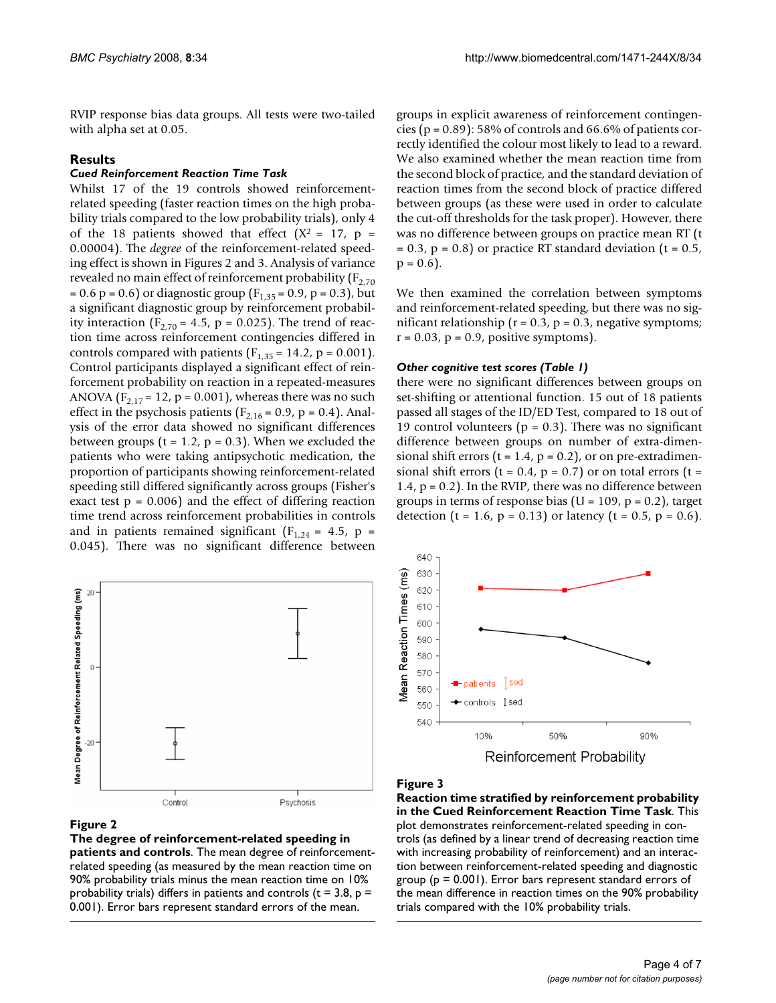RVIP response bias data groups. All tests were two-tailed with alpha set at 0.05.

#### **Results**

#### *Cued Reinforcement Reaction Time Task*

Whilst 17 of the 19 controls showed reinforcementrelated speeding (faster reaction times on the high probability trials compared to the low probability trials), only 4 of the 18 patients showed that effect  $(X^2 = 17, p =$ 0.00004). The *degree* of the reinforcement-related speeding effect is shown in Figures 2 and 3. Analysis of variance revealed no main effect of reinforcement probability  $(F_{2,70})$ = 0.6 p = 0.6) or diagnostic group ( $F_{1,35}$  = 0.9, p = 0.3), but a significant diagnostic group by reinforcement probability interaction ( $F_{2,70}$  = 4.5, p = 0.025). The trend of reaction time across reinforcement contingencies differed in controls compared with patients  $(F<sub>1,35</sub> = 14.2, p = 0.001)$ . Control participants displayed a significant effect of reinforcement probability on reaction in a repeated-measures ANOVA ( $F_{2,17}$  = 12, p = 0.001), whereas there was no such effect in the psychosis patients ( $F_{2,16}$  = 0.9, p = 0.4). Analysis of the error data showed no significant differences between groups ( $t = 1.2$ ,  $p = 0.3$ ). When we excluded the patients who were taking antipsychotic medication, the proportion of participants showing reinforcement-related speeding still differed significantly across groups (Fisher's exact test  $p = 0.006$ ) and the effect of differing reaction time trend across reinforcement probabilities in controls and in patients remained significant ( $F_{1,24} = 4.5$ ,  $p =$ 0.045). There was no significant difference between



#### Figure 2

**The degree of reinforcement-related speeding in** 

**patients and controls**. The mean degree of reinforcementrelated speeding (as measured by the mean reaction time on 90% probability trials minus the mean reaction time on 10% probability trials) differs in patients and controls ( $t = 3.8$ ,  $p =$ 0.001). Error bars represent standard errors of the mean.

groups in explicit awareness of reinforcement contingencies ( $p = 0.89$ ): 58% of controls and 66.6% of patients correctly identified the colour most likely to lead to a reward. We also examined whether the mean reaction time from the second block of practice, and the standard deviation of reaction times from the second block of practice differed between groups (as these were used in order to calculate the cut-off thresholds for the task proper). However, there was no difference between groups on practice mean RT (t  $= 0.3$ ,  $p = 0.8$ ) or practice RT standard deviation (t = 0.5,  $p = 0.6$ ).

We then examined the correlation between symptoms and reinforcement-related speeding, but there was no significant relationship ( $r = 0.3$ ,  $p = 0.3$ , negative symptoms;  $r = 0.03$ ,  $p = 0.9$ , positive symptoms).

#### *Other cognitive test scores (Table 1)*

there were no significant differences between groups on set-shifting or attentional function. 15 out of 18 patients passed all stages of the ID/ED Test, compared to 18 out of 19 control volunteers ( $p = 0.3$ ). There was no significant difference between groups on number of extra-dimensional shift errors  $(t = 1.4, p = 0.2)$ , or on pre-extradimensional shift errors ( $t = 0.4$ ,  $p = 0.7$ ) or on total errors ( $t =$  $1.4$ ,  $p = 0.2$ ). In the RVIP, there was no difference between groups in terms of response bias ( $U = 109$ ,  $p = 0.2$ ), target detection (t = 1.6, p = 0.13) or latency (t = 0.5, p = 0.6).



#### Figure 3

**Reaction time stratified by reinforcement probability in the Cued Reinforcement Reaction Time Task**. This plot demonstrates reinforcement-related speeding in controls (as defined by a linear trend of decreasing reaction time with increasing probability of reinforcement) and an interaction between reinforcement-related speeding and diagnostic group ( $p = 0.001$ ). Error bars represent standard errors of the mean difference in reaction times on the 90% probability trials compared with the 10% probability trials.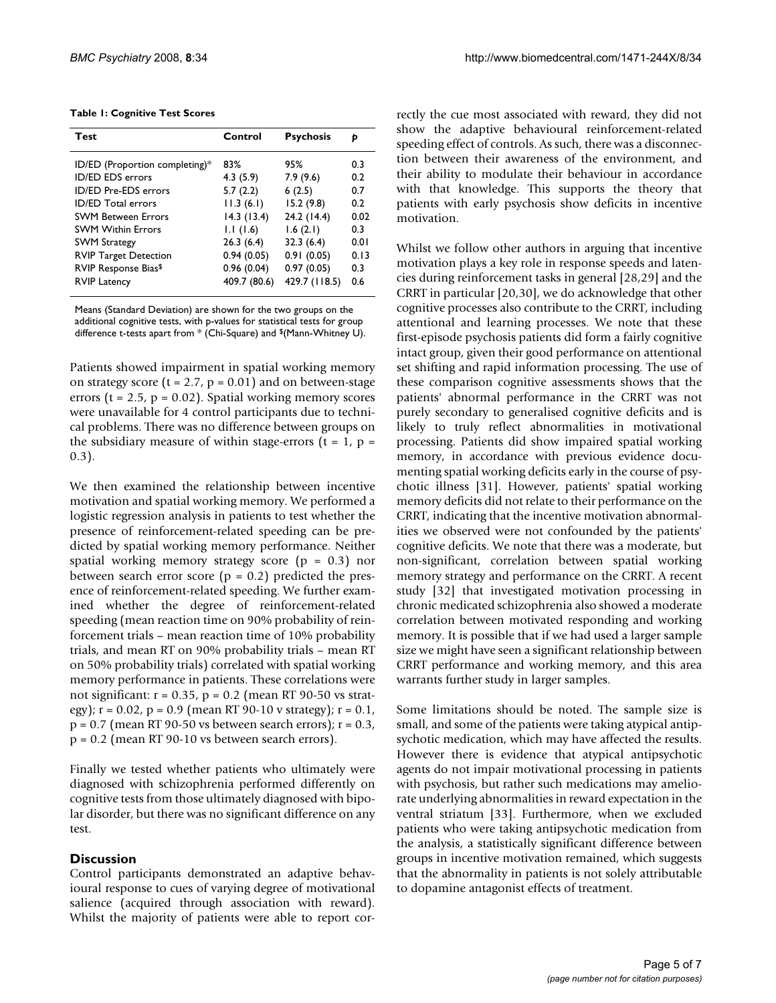**Table 1: Cognitive Test Scores**

| <b>Test</b>                    | Control      | <b>Psychosis</b> | Þ    |
|--------------------------------|--------------|------------------|------|
| ID/ED (Proportion completing)* | 83%          | 95%              | 0.3  |
| <b>ID/ED EDS</b> errors        | 4.3(5.9)     | 7.9(9.6)         | 0.2  |
| <b>ID/FD Pre-FDS errors</b>    | 5.7(2.2)     | 6(2.5)           | 0.7  |
| <b>ID/FD</b> Total errors      | 11.3(6.1)    | 15.2(9.8)        | 0.2  |
| <b>SWM Between Errors</b>      | 14.3(13.4)   | 24.2 (14.4)      | 0.02 |
| <b>SWM Within Frrors</b>       | 1.1(1.6)     | 1.6(2.1)         | 0.3  |
| <b>SWM Strategy</b>            | 26.3(6.4)    | 32.3(6.4)        | 0.01 |
| <b>RVIP Target Detection</b>   | 0.94(0.05)   | 0.91(0.05)       | 0.13 |
| RVIP Response Bias\$           | 0.96(0.04)   | 0.97(0.05)       | 0.3  |
| <b>RVIP Latency</b>            | 409.7 (80.6) | 429.7 (118.5)    | 0.6  |

Means (Standard Deviation) are shown for the two groups on the additional cognitive tests, with p-values for statistical tests for group difference t-tests apart from \* (Chi-Square) and \$(Mann-Whitney U).

Patients showed impairment in spatial working memory on strategy score ( $t = 2.7$ ,  $p = 0.01$ ) and on between-stage errors ( $t = 2.5$ ,  $p = 0.02$ ). Spatial working memory scores were unavailable for 4 control participants due to technical problems. There was no difference between groups on the subsidiary measure of within stage-errors ( $t = 1$ ,  $p =$ 0.3).

We then examined the relationship between incentive motivation and spatial working memory. We performed a logistic regression analysis in patients to test whether the presence of reinforcement-related speeding can be predicted by spatial working memory performance. Neither spatial working memory strategy score  $(p = 0.3)$  nor between search error score  $(p = 0.2)$  predicted the presence of reinforcement-related speeding. We further examined whether the degree of reinforcement-related speeding (mean reaction time on 90% probability of reinforcement trials – mean reaction time of 10% probability trials, and mean RT on 90% probability trials – mean RT on 50% probability trials) correlated with spatial working memory performance in patients. These correlations were not significant:  $r = 0.35$ ,  $p = 0.2$  (mean RT 90-50 vs strategy);  $r = 0.02$ ,  $p = 0.9$  (mean RT 90-10 v strategy);  $r = 0.1$ ,  $p = 0.7$  (mean RT 90-50 vs between search errors);  $r = 0.3$ , p = 0.2 (mean RT 90-10 vs between search errors).

Finally we tested whether patients who ultimately were diagnosed with schizophrenia performed differently on cognitive tests from those ultimately diagnosed with bipolar disorder, but there was no significant difference on any test.

#### **Discussion**

Control participants demonstrated an adaptive behavioural response to cues of varying degree of motivational salience (acquired through association with reward). Whilst the majority of patients were able to report correctly the cue most associated with reward, they did not show the adaptive behavioural reinforcement-related speeding effect of controls. As such, there was a disconnection between their awareness of the environment, and their ability to modulate their behaviour in accordance with that knowledge. This supports the theory that patients with early psychosis show deficits in incentive motivation.

Whilst we follow other authors in arguing that incentive motivation plays a key role in response speeds and latencies during reinforcement tasks in general [28,29] and the CRRT in particular [20,30], we do acknowledge that other cognitive processes also contribute to the CRRT, including attentional and learning processes. We note that these first-episode psychosis patients did form a fairly cognitive intact group, given their good performance on attentional set shifting and rapid information processing. The use of these comparison cognitive assessments shows that the patients' abnormal performance in the CRRT was not purely secondary to generalised cognitive deficits and is likely to truly reflect abnormalities in motivational processing. Patients did show impaired spatial working memory, in accordance with previous evidence documenting spatial working deficits early in the course of psychotic illness [31]. However, patients' spatial working memory deficits did not relate to their performance on the CRRT, indicating that the incentive motivation abnormalities we observed were not confounded by the patients' cognitive deficits. We note that there was a moderate, but non-significant, correlation between spatial working memory strategy and performance on the CRRT. A recent study [32] that investigated motivation processing in chronic medicated schizophrenia also showed a moderate correlation between motivated responding and working memory. It is possible that if we had used a larger sample size we might have seen a significant relationship between CRRT performance and working memory, and this area warrants further study in larger samples.

Some limitations should be noted. The sample size is small, and some of the patients were taking atypical antipsychotic medication, which may have affected the results. However there is evidence that atypical antipsychotic agents do not impair motivational processing in patients with psychosis, but rather such medications may ameliorate underlying abnormalities in reward expectation in the ventral striatum [33]. Furthermore, when we excluded patients who were taking antipsychotic medication from the analysis, a statistically significant difference between groups in incentive motivation remained, which suggests that the abnormality in patients is not solely attributable to dopamine antagonist effects of treatment.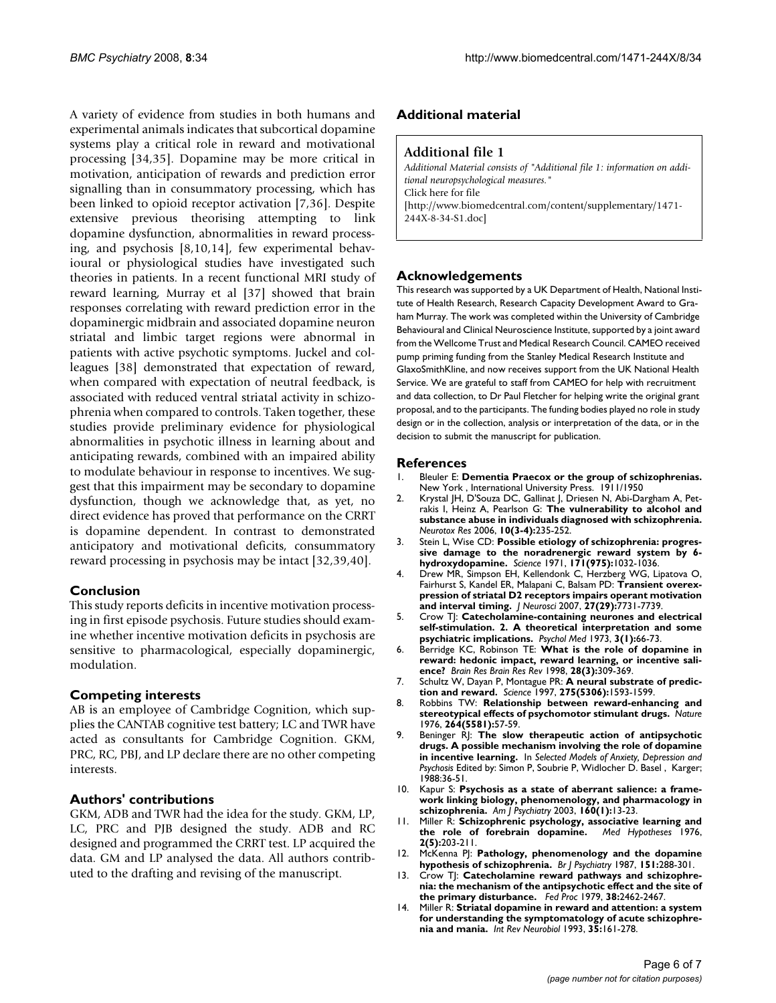A variety of evidence from studies in both humans and experimental animals indicates that subcortical dopamine systems play a critical role in reward and motivational processing [34,35]. Dopamine may be more critical in motivation, anticipation of rewards and prediction error signalling than in consummatory processing, which has been linked to opioid receptor activation [7,36]. Despite extensive previous theorising attempting to link dopamine dysfunction, abnormalities in reward processing, and psychosis [8,10,14], few experimental behavioural or physiological studies have investigated such theories in patients. In a recent functional MRI study of reward learning, Murray et al [37] showed that brain responses correlating with reward prediction error in the dopaminergic midbrain and associated dopamine neuron striatal and limbic target regions were abnormal in patients with active psychotic symptoms. Juckel and colleagues [38] demonstrated that expectation of reward, when compared with expectation of neutral feedback, is associated with reduced ventral striatal activity in schizophrenia when compared to controls. Taken together, these studies provide preliminary evidence for physiological abnormalities in psychotic illness in learning about and anticipating rewards, combined with an impaired ability to modulate behaviour in response to incentives. We suggest that this impairment may be secondary to dopamine dysfunction, though we acknowledge that, as yet, no direct evidence has proved that performance on the CRRT is dopamine dependent. In contrast to demonstrated anticipatory and motivational deficits, consummatory reward processing in psychosis may be intact [32,39,40].

#### **Conclusion**

This study reports deficits in incentive motivation processing in first episode psychosis. Future studies should examine whether incentive motivation deficits in psychosis are sensitive to pharmacological, especially dopaminergic, modulation.

#### **Competing interests**

AB is an employee of Cambridge Cognition, which supplies the CANTAB cognitive test battery; LC and TWR have acted as consultants for Cambridge Cognition. GKM, PRC, RC, PBJ, and LP declare there are no other competing interests.

#### **Authors' contributions**

GKM, ADB and TWR had the idea for the study. GKM, LP, LC, PRC and PJB designed the study. ADB and RC designed and programmed the CRRT test. LP acquired the data. GM and LP analysed the data. All authors contributed to the drafting and revising of the manuscript.

#### **Additional material**

#### **Additional file 1**

*Additional Material consists of "Additional file 1: information on additional neuropsychological measures."* Click here for file [\[http://www.biomedcentral.com/content/supplementary/1471-](http://www.biomedcentral.com/content/supplementary/1471-244X-8-34-S1.doc) 244X-8-34-S1.doc]

#### **Acknowledgements**

This research was supported by a UK Department of Health, National Institute of Health Research, Research Capacity Development Award to Graham Murray. The work was completed within the University of Cambridge Behavioural and Clinical Neuroscience Institute, supported by a joint award from the Wellcome Trust and Medical Research Council. CAMEO received pump priming funding from the Stanley Medical Research Institute and GlaxoSmithKline, and now receives support from the UK National Health Service. We are grateful to staff from CAMEO for help with recruitment and data collection, to Dr Paul Fletcher for helping write the original grant proposal, and to the participants. The funding bodies played no role in study design or in the collection, analysis or interpretation of the data, or in the decision to submit the manuscript for publication.

#### **References**

- 1. Bleuler E: **Dementia Praecox or the group of schizophrenias.** New York , International University Press. 1911/1950
- 2. Krystal JH, D'Souza DC, Gallinat J, Driesen N, Abi-Dargham A, Petrakis I, Heinz A, Pearlson G: **[The vulnerability to alcohol and](http://www.ncbi.nlm.nih.gov/entrez/query.fcgi?cmd=Retrieve&db=PubMed&dopt=Abstract&list_uids=17197373) [substance abuse in individuals diagnosed with schizophrenia.](http://www.ncbi.nlm.nih.gov/entrez/query.fcgi?cmd=Retrieve&db=PubMed&dopt=Abstract&list_uids=17197373)** *Neurotox Res* 2006, **10(3-4):**235-252.
- 3. Stein L, Wise CD: **[Possible etiology of schizophrenia: progres](http://www.ncbi.nlm.nih.gov/entrez/query.fcgi?cmd=Retrieve&db=PubMed&dopt=Abstract&list_uids=5100789)[sive damage to the noradrenergic reward system by 6](http://www.ncbi.nlm.nih.gov/entrez/query.fcgi?cmd=Retrieve&db=PubMed&dopt=Abstract&list_uids=5100789) [hydroxydopamine.](http://www.ncbi.nlm.nih.gov/entrez/query.fcgi?cmd=Retrieve&db=PubMed&dopt=Abstract&list_uids=5100789)** *Science* 1971, **171(975):**1032-1036.
- 4. Drew MR, Simpson EH, Kellendonk C, Herzberg WG, Lipatova O, Fairhurst S, Kandel ER, Malapani C, Balsam PD: **[Transient overex](http://www.ncbi.nlm.nih.gov/entrez/query.fcgi?cmd=Retrieve&db=PubMed&dopt=Abstract&list_uids=17634367)[pression of striatal D2 receptors impairs operant motivation](http://www.ncbi.nlm.nih.gov/entrez/query.fcgi?cmd=Retrieve&db=PubMed&dopt=Abstract&list_uids=17634367) [and interval timing.](http://www.ncbi.nlm.nih.gov/entrez/query.fcgi?cmd=Retrieve&db=PubMed&dopt=Abstract&list_uids=17634367)** *J Neurosci* 2007, **27(29):**7731-7739.
- 5. Crow TJ: **[Catecholamine-containing neurones and electrical](http://www.ncbi.nlm.nih.gov/entrez/query.fcgi?cmd=Retrieve&db=PubMed&dopt=Abstract&list_uids=4692492) [self-stimulation. 2. A theoretical interpretation and some](http://www.ncbi.nlm.nih.gov/entrez/query.fcgi?cmd=Retrieve&db=PubMed&dopt=Abstract&list_uids=4692492) [psychiatric implications.](http://www.ncbi.nlm.nih.gov/entrez/query.fcgi?cmd=Retrieve&db=PubMed&dopt=Abstract&list_uids=4692492)** *Psychol Med* 1973, **3(1):**66-73.
- 6. Berridge KC, Robinson TE: **[What is the role of dopamine in](http://www.ncbi.nlm.nih.gov/entrez/query.fcgi?cmd=Retrieve&db=PubMed&dopt=Abstract&list_uids=9858756) [reward: hedonic impact, reward learning, or incentive sali](http://www.ncbi.nlm.nih.gov/entrez/query.fcgi?cmd=Retrieve&db=PubMed&dopt=Abstract&list_uids=9858756)[ence?](http://www.ncbi.nlm.nih.gov/entrez/query.fcgi?cmd=Retrieve&db=PubMed&dopt=Abstract&list_uids=9858756)** *Brain Res Brain Res Rev* 1998, **28(3):**309-369.
- 7. Schultz W, Dayan P, Montague PR: **[A neural substrate of predic](http://www.ncbi.nlm.nih.gov/entrez/query.fcgi?cmd=Retrieve&db=PubMed&dopt=Abstract&list_uids=9054347)[tion and reward.](http://www.ncbi.nlm.nih.gov/entrez/query.fcgi?cmd=Retrieve&db=PubMed&dopt=Abstract&list_uids=9054347)** *Science* 1997, **275(5306):**1593-1599.
- 8. Robbins TW: **[Relationship between reward-enhancing and](http://www.ncbi.nlm.nih.gov/entrez/query.fcgi?cmd=Retrieve&db=PubMed&dopt=Abstract&list_uids=12471) [stereotypical effects of psychomotor stimulant drugs.](http://www.ncbi.nlm.nih.gov/entrez/query.fcgi?cmd=Retrieve&db=PubMed&dopt=Abstract&list_uids=12471)** *Nature* 1976, **264(5581):**57-59.
- 9. Beninger RJ: **The slow therapeutic action of antipsychotic drugs. A possible mechanism involving the role of dopamine in incentive learning.** In *Selected Models of Anxiety, Depression and Psychosis* Edited by: Simon P, Soubrie P, Widlocher D. Basel , Karger; 1988:36-51.
- 10. Kapur S: **[Psychosis as a state of aberrant salience: a frame](http://www.ncbi.nlm.nih.gov/entrez/query.fcgi?cmd=Retrieve&db=PubMed&dopt=Abstract&list_uids=12505794)[work linking biology, phenomenology, and pharmacology in](http://www.ncbi.nlm.nih.gov/entrez/query.fcgi?cmd=Retrieve&db=PubMed&dopt=Abstract&list_uids=12505794) [schizophrenia.](http://www.ncbi.nlm.nih.gov/entrez/query.fcgi?cmd=Retrieve&db=PubMed&dopt=Abstract&list_uids=12505794)** *Am J Psychiatry* 2003, **160(1):**13-23.
- 11. Miller R: **[Schizophrenic psychology, associative learning and](http://www.ncbi.nlm.nih.gov/entrez/query.fcgi?cmd=Retrieve&db=PubMed&dopt=Abstract&list_uids=9558) [the role of forebrain dopamine.](http://www.ncbi.nlm.nih.gov/entrez/query.fcgi?cmd=Retrieve&db=PubMed&dopt=Abstract&list_uids=9558)** *Med Hypotheses* 1976, **2(5):**203-211.
- 12. McKenna PJ: **[Pathology, phenomenology and the dopamine](http://www.ncbi.nlm.nih.gov/entrez/query.fcgi?cmd=Retrieve&db=PubMed&dopt=Abstract&list_uids=3322465) [hypothesis of schizophrenia.](http://www.ncbi.nlm.nih.gov/entrez/query.fcgi?cmd=Retrieve&db=PubMed&dopt=Abstract&list_uids=3322465)** *Br J Psychiatry* 1987, **151:**288-301.
- 13. Crow TJ: **[Catecholamine reward pathways and schizophre](http://www.ncbi.nlm.nih.gov/entrez/query.fcgi?cmd=Retrieve&db=PubMed&dopt=Abstract&list_uids=39790)[nia: the mechanism of the antipsychotic effect and the site of](http://www.ncbi.nlm.nih.gov/entrez/query.fcgi?cmd=Retrieve&db=PubMed&dopt=Abstract&list_uids=39790) [the primary disturbance.](http://www.ncbi.nlm.nih.gov/entrez/query.fcgi?cmd=Retrieve&db=PubMed&dopt=Abstract&list_uids=39790)** *Fed Proc* 1979, **38:**2462-2467.
- 14. Miller R: **[Striatal dopamine in reward and attention: a system](http://www.ncbi.nlm.nih.gov/entrez/query.fcgi?cmd=Retrieve&db=PubMed&dopt=Abstract&list_uids=8463061) [for understanding the symptomatology of acute schizophre](http://www.ncbi.nlm.nih.gov/entrez/query.fcgi?cmd=Retrieve&db=PubMed&dopt=Abstract&list_uids=8463061)[nia and mania.](http://www.ncbi.nlm.nih.gov/entrez/query.fcgi?cmd=Retrieve&db=PubMed&dopt=Abstract&list_uids=8463061)** *Int Rev Neurobiol* 1993, **35:**161-278.